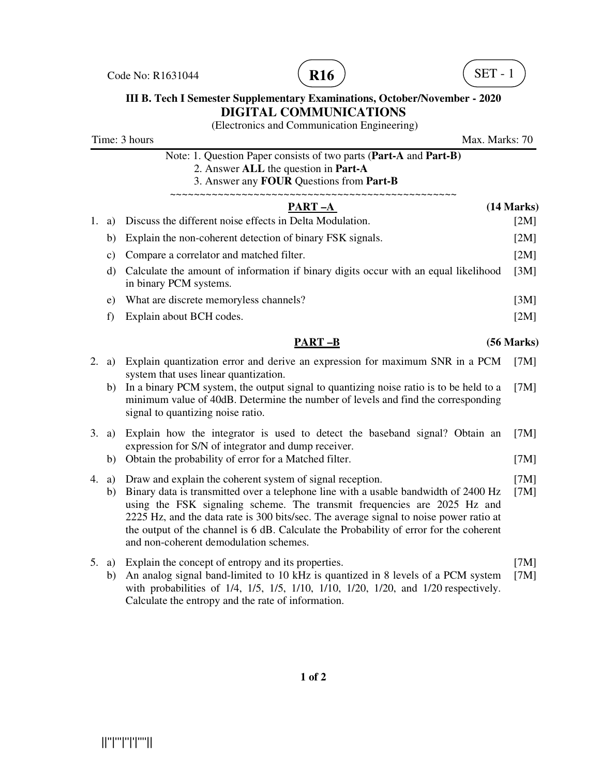Code No: R1631044 **R16**  $\left($  **R16**  $\right)$   $\left($  **SET** - 1





## **III B. Tech I Semester Supplementary Examinations, October/November - 2020 DIGITAL COMMUNICATIONS**

|                                 |               | (Electronics and Communication Engineering)                                                                                                                                                                                                                                                                                                                                                                                                                |              |
|---------------------------------|---------------|------------------------------------------------------------------------------------------------------------------------------------------------------------------------------------------------------------------------------------------------------------------------------------------------------------------------------------------------------------------------------------------------------------------------------------------------------------|--------------|
| Time: 3 hours<br>Max. Marks: 70 |               |                                                                                                                                                                                                                                                                                                                                                                                                                                                            |              |
|                                 |               | Note: 1. Question Paper consists of two parts (Part-A and Part-B)<br>2. Answer ALL the question in Part-A<br>3. Answer any FOUR Questions from Part-B                                                                                                                                                                                                                                                                                                      |              |
|                                 |               | , ~~~~~~~~~~~~~~~~~~~~~~~<br><b>PART-A</b>                                                                                                                                                                                                                                                                                                                                                                                                                 | (14 Marks)   |
|                                 | 1. a)         | Discuss the different noise effects in Delta Modulation.                                                                                                                                                                                                                                                                                                                                                                                                   | [2M]         |
|                                 | b)            | Explain the non-coherent detection of binary FSK signals.                                                                                                                                                                                                                                                                                                                                                                                                  | [2M]         |
|                                 | $\mathbf{c})$ | Compare a correlator and matched filter.                                                                                                                                                                                                                                                                                                                                                                                                                   | [2M]         |
|                                 | $\mathbf{d}$  | Calculate the amount of information if binary digits occur with an equal likelihood<br>in binary PCM systems.                                                                                                                                                                                                                                                                                                                                              | [3M]         |
|                                 | $\epsilon$ )  | What are discrete memoryless channels?                                                                                                                                                                                                                                                                                                                                                                                                                     | [3M]         |
|                                 | f)            | Explain about BCH codes.                                                                                                                                                                                                                                                                                                                                                                                                                                   | [2M]         |
|                                 |               | <b>PART-B</b>                                                                                                                                                                                                                                                                                                                                                                                                                                              | (56 Marks)   |
| 2.                              | a)            | Explain quantization error and derive an expression for maximum SNR in a PCM<br>system that uses linear quantization.                                                                                                                                                                                                                                                                                                                                      | [7M]         |
|                                 | b)            | In a binary PCM system, the output signal to quantizing noise ratio is to be held to a<br>minimum value of 40dB. Determine the number of levels and find the corresponding<br>signal to quantizing noise ratio.                                                                                                                                                                                                                                            | [7M]         |
|                                 | 3. a)         | Explain how the integrator is used to detect the baseband signal? Obtain an<br>expression for S/N of integrator and dump receiver.                                                                                                                                                                                                                                                                                                                         | [7M]         |
|                                 | b)            | Obtain the probability of error for a Matched filter.                                                                                                                                                                                                                                                                                                                                                                                                      | [7M]         |
|                                 | 4. a)<br>b)   | Draw and explain the coherent system of signal reception.<br>Binary data is transmitted over a telephone line with a usable bandwidth of 2400 Hz<br>using the FSK signaling scheme. The transmit frequencies are 2025 Hz and<br>2225 Hz, and the data rate is 300 bits/sec. The average signal to noise power ratio at<br>the output of the channel is 6 dB. Calculate the Probability of error for the coherent<br>and non-coherent demodulation schemes. | [7M]<br>[7M] |
|                                 | 5. a)<br>b)   | Explain the concept of entropy and its properties.<br>An analog signal band-limited to 10 kHz is quantized in 8 levels of a PCM system<br>with probabilities of 1/4, 1/5, 1/5, 1/10, 1/10, 1/20, 1/20, and 1/20 respectively.                                                                                                                                                                                                                              | [7M]<br>[7M] |

Calculate the entropy and the rate of information.